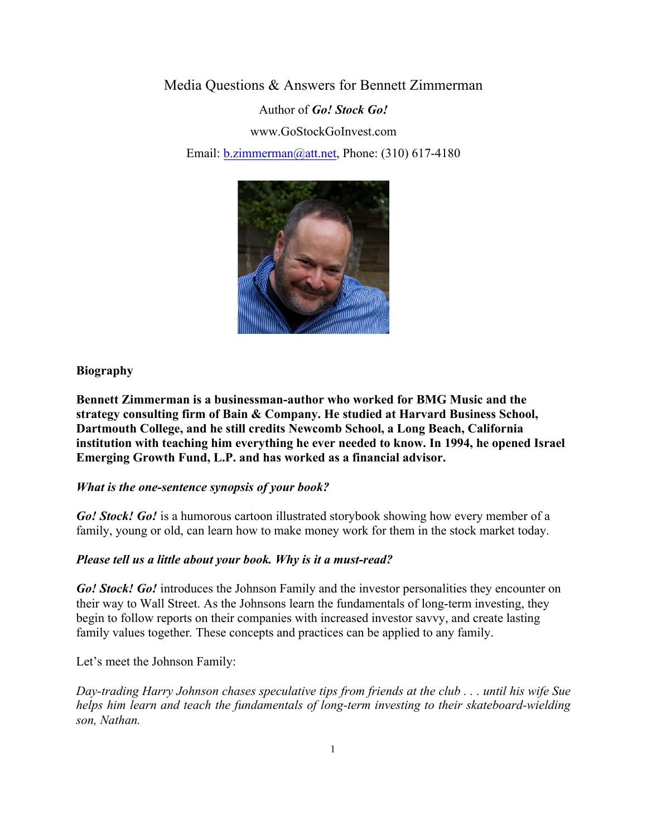Media Questions & Answers for Bennett Zimmerman Author of *Go! Stock Go!* www.GoStockGoInvest.com Email: b.zimmerman@att.net, Phone: (310) 617-4180



#### **Biography**

**Bennett Zimmerman is a businessman-author who worked for BMG Music and the strategy consulting firm of Bain & Company. He studied at Harvard Business School, Dartmouth College, and he still credits Newcomb School, a Long Beach, California institution with teaching him everything he ever needed to know. In 1994, he opened Israel Emerging Growth Fund, L.P. and has worked as a financial advisor.**

#### *What is the one-sentence synopsis of your book?*

*Go! Stock! Go!* is a humorous cartoon illustrated storybook showing how every member of a family, young or old, can learn how to make money work for them in the stock market today.

#### *Please tell us a little about your book. Why is it a must-read?*

*Go! Stock! Go!* introduces the Johnson Family and the investor personalities they encounter on their way to Wall Street. As the Johnsons learn the fundamentals of long-term investing, they begin to follow reports on their companies with increased investor savvy, and create lasting family values together*.* These concepts and practices can be applied to any family.

Let's meet the Johnson Family:

*Day-trading Harry Johnson chases speculative tips from friends at the club . . . until his wife Sue helps him learn and teach the fundamentals of long-term investing to their skateboard-wielding son, Nathan.*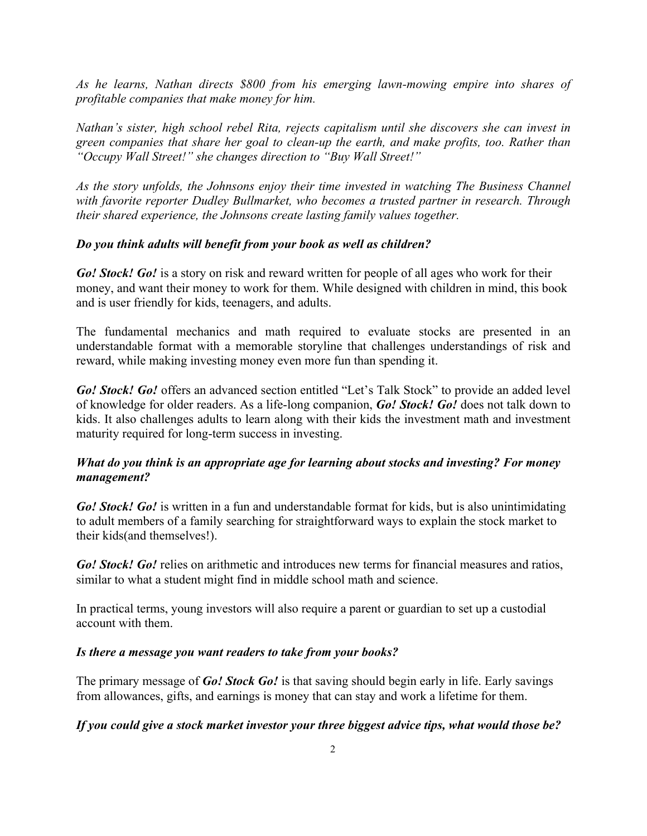*As he learns, Nathan directs \$800 from his emerging lawn-mowing empire into shares of profitable companies that make money for him.*

*Nathan's sister, high school rebel Rita, rejects capitalism until she discovers she can invest in green companies that share her goal to clean-up the earth, and make profits, too. Rather than "Occupy Wall Street!" she changes direction to "Buy Wall Street!"*

*As the story unfolds, the Johnsons enjoy their time invested in watching The Business Channel with favorite reporter Dudley Bullmarket, who becomes a trusted partner in research. Through their shared experience, the Johnsons create lasting family values together.* 

## *Do you think adults will benefit from your book as well as children?*

*Go! Stock! Go!* is a story on risk and reward written for people of all ages who work for their money, and want their money to work for them. While designed with children in mind, this book and is user friendly for kids, teenagers, and adults.

The fundamental mechanics and math required to evaluate stocks are presented in an understandable format with a memorable storyline that challenges understandings of risk and reward, while making investing money even more fun than spending it.

*Go! Stock! Go!* offers an advanced section entitled "Let's Talk Stock" to provide an added level of knowledge for older readers. As a life-long companion, *Go! Stock! Go!* does not talk down to kids. It also challenges adults to learn along with their kids the investment math and investment maturity required for long-term success in investing.

# *What do you think is an appropriate age for learning about stocks and investing? For money management?*

*Go! Stock! Go!* is written in a fun and understandable format for kids, but is also unintimidating to adult members of a family searching for straightforward ways to explain the stock market to their kids(and themselves!).

*Go! Stock! Go!* relies on arithmetic and introduces new terms for financial measures and ratios, similar to what a student might find in middle school math and science.

In practical terms, young investors will also require a parent or guardian to set up a custodial account with them.

## *Is there a message you want readers to take from your books?*

The primary message of *Go! Stock Go!* is that saving should begin early in life. Early savings from allowances, gifts, and earnings is money that can stay and work a lifetime for them.

## *If you could give a stock market investor your three biggest advice tips, what would those be?*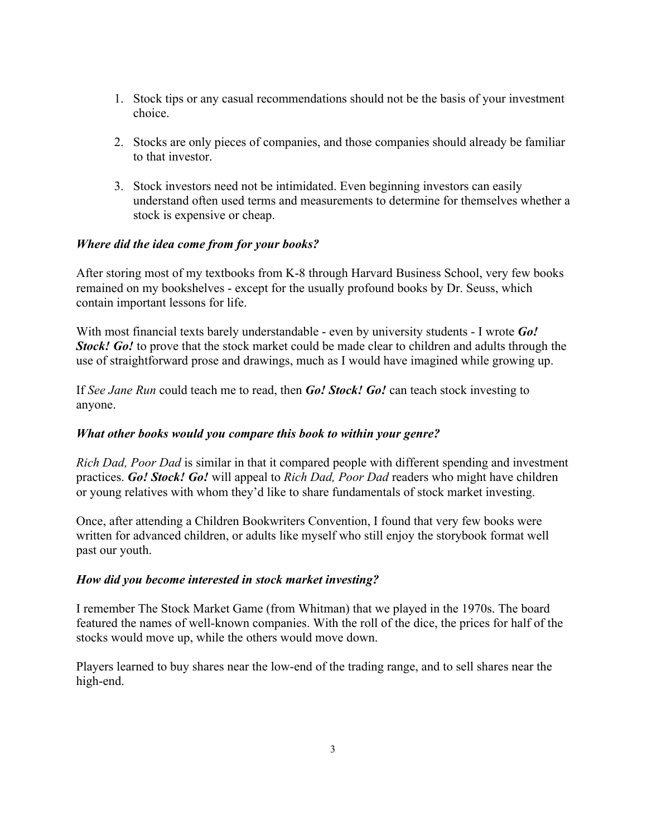- 1. Stock tips or any casual recommendations should not be the basis of your investment choice.
- 2. Stocks are only pieces of companies, and those companies should already be familiar to that investor.
- 3. Stock investors need not be intimidated. Even beginning investors can easily understand often used terms and measurements to determine for themselves whether a stock is expensive or cheap.

## *Where did the idea come from for your books?*

After storing most of my textbooks from K-8 through Harvard Business School, very few books remained on my bookshelves - except for the usually profound books by Dr. Seuss, which contain important lessons for life.

With most financial texts barely understandable - even by university students - I wrote *Go! Stock! Go!* to prove that the stock market could be made clear to children and adults through the use of straightforward prose and drawings, much as I would have imagined while growing up.

If *See Jane Run* could teach me to read, then *Go! Stock! Go!* can teach stock investing to anyone.

## *What other books would you compare this book to within your genre?*

*Rich Dad, Poor Dad* is similar in that it compared people with different spending and investment practices. *Go! Stock! Go!* will appeal to *Rich Dad, Poor Dad* readers who might have children or young relatives with whom they'd like to share fundamentals of stock market investing.

Once, after attending a Children Bookwriters Convention, I found that very few books were written for advanced children, or adults like myself who still enjoy the storybook format well past our youth.

## *How did you become interested in stock market investing?*

I remember The Stock Market Game (from Whitman) that we played in the 1970s. The board featured the names of well-known companies. With the roll of the dice, the prices for half of the stocks would move up, while the others would move down.

Players learned to buy shares near the low-end of the trading range, and to sell shares near the high-end.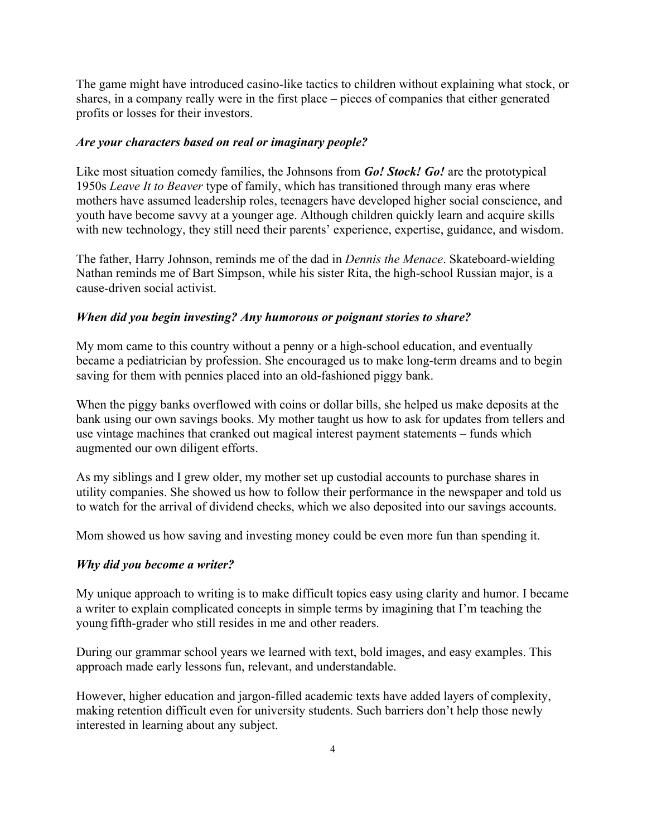The game might have introduced casino-like tactics to children without explaining what stock, or shares, in a company really were in the first place – pieces of companies that either generated profits or losses for their investors.

#### *Are your characters based on real or imaginary people?*

Like most situation comedy families, the Johnsons from *Go! Stock! Go!* are the prototypical 1950s *Leave It to Beaver* type of family, which has transitioned through many eras where mothers have assumed leadership roles, teenagers have developed higher social conscience, and youth have become savvy at a younger age. Although children quickly learn and acquire skills with new technology, they still need their parents' experience, expertise, guidance, and wisdom.

The father, Harry Johnson, reminds me of the dad in *Dennis the Menace*. Skateboard-wielding Nathan reminds me of Bart Simpson, while his sister Rita, the high-school Russian major, is a cause-driven social activist.

#### *When did you begin investing? Any humorous or poignant stories to share?*

My mom came to this country without a penny or a high-school education, and eventually became a pediatrician by profession. She encouraged us to make long-term dreams and to begin saving for them with pennies placed into an old-fashioned piggy bank.

When the piggy banks overflowed with coins or dollar bills, she helped us make deposits at the bank using our own savings books. My mother taught us how to ask for updates from tellers and use vintage machines that cranked out magical interest payment statements – funds which augmented our own diligent efforts.

As my siblings and I grew older, my mother set up custodial accounts to purchase shares in utility companies. She showed us how to follow their performance in the newspaper and told us to watch for the arrival of dividend checks, which we also deposited into our savings accounts.

Mom showed us how saving and investing money could be even more fun than spending it.

## *Why did you become a writer?*

My unique approach to writing is to make difficult topics easy using clarity and humor. I became a writer to explain complicated concepts in simple terms by imagining that I'm teaching the young fifth-grader who still resides in me and other readers.

During our grammar school years we learned with text, bold images, and easy examples. This approach made early lessons fun, relevant, and understandable.

However, higher education and jargon-filled academic texts have added layers of complexity, making retention difficult even for university students. Such barriers don't help those newly interested in learning about any subject.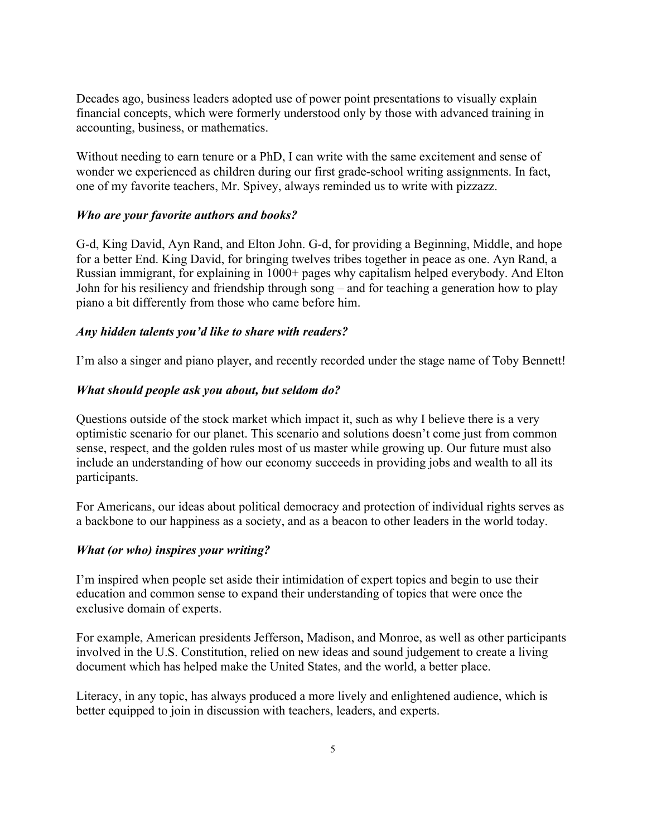Decades ago, business leaders adopted use of power point presentations to visually explain financial concepts, which were formerly understood only by those with advanced training in accounting, business, or mathematics.

Without needing to earn tenure or a PhD, I can write with the same excitement and sense of wonder we experienced as children during our first grade-school writing assignments. In fact, one of my favorite teachers, Mr. Spivey, always reminded us to write with pizzazz.

#### *Who are your favorite authors and books?*

G-d, King David, Ayn Rand, and Elton John. G-d, for providing a Beginning, Middle, and hope for a better End. King David, for bringing twelves tribes together in peace as one. Ayn Rand, a Russian immigrant, for explaining in 1000+ pages why capitalism helped everybody. And Elton John for his resiliency and friendship through song – and for teaching a generation how to play piano a bit differently from those who came before him.

#### *Any hidden talents you'd like to share with readers?*

I'm also a singer and piano player, and recently recorded under the stage name of Toby Bennett!

#### *What should people ask you about, but seldom do?*

Questions outside of the stock market which impact it, such as why I believe there is a very optimistic scenario for our planet. This scenario and solutions doesn't come just from common sense, respect, and the golden rules most of us master while growing up. Our future must also include an understanding of how our economy succeeds in providing jobs and wealth to all its participants.

For Americans, our ideas about political democracy and protection of individual rights serves as a backbone to our happiness as a society, and as a beacon to other leaders in the world today.

#### *What (or who) inspires your writing?*

I'm inspired when people set aside their intimidation of expert topics and begin to use their education and common sense to expand their understanding of topics that were once the exclusive domain of experts.

For example, American presidents Jefferson, Madison, and Monroe, as well as other participants involved in the U.S. Constitution, relied on new ideas and sound judgement to create a living document which has helped make the United States, and the world, a better place.

Literacy, in any topic, has always produced a more lively and enlightened audience, which is better equipped to join in discussion with teachers, leaders, and experts.